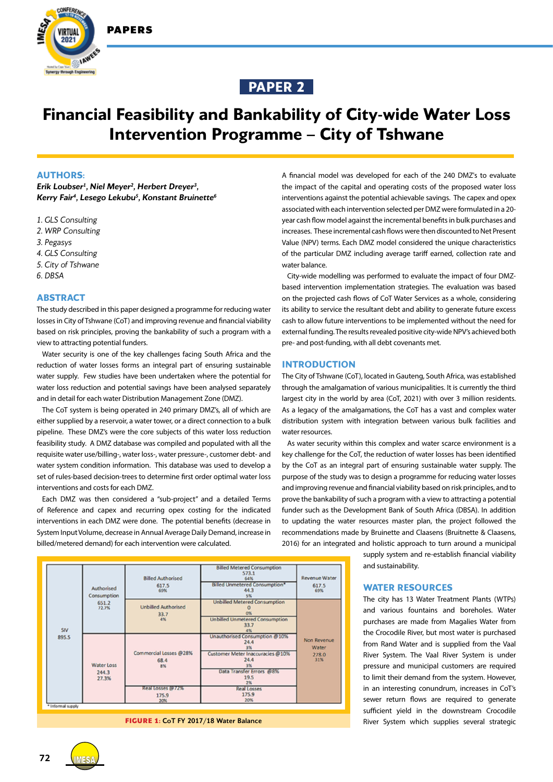

**CONFERENCE** 



# **Financial Feasibility and Bankability of City-wide Water Loss Intervention Programme – City of Tshwane**

#### **AUTHORS:**

*Erik Loubser1 , Niel Meyer2 , Herbert Dreyer3 , Kerry Fair4 , Lesego Lekubu5 , Konstant Bruinette6*

*1. GLS Consulting*

*2. WRP Consulting*

*3. Pegasys*

*4. GLS Consulting*

*5. City of Tshwane*

*6. DBSA*

#### **ABSTRACT**

The study described in this paper designed a programme for reducing water losses in City of Tshwane (CoT) and improving revenue and financial viability based on risk principles, proving the bankability of such a program with a view to attracting potential funders.

Water security is one of the key challenges facing South Africa and the reduction of water losses forms an integral part of ensuring sustainable water supply. Few studies have been undertaken where the potential for water loss reduction and potential savings have been analysed separately and in detail for each water Distribution Management Zone (DMZ).

The CoT system is being operated in 240 primary DMZ's, all of which are either supplied by a reservoir, a water tower, or a direct connection to a bulk pipeline. These DMZ's were the core subjects of this water loss reduction feasibility study. A DMZ database was compiled and populated with all the requisite water use/billing-, water loss-, water pressure-, customer debt- and water system condition information. This database was used to develop a set of rules-based decision-trees to determine first order optimal water loss interventions and costs for each DMZ.

Each DMZ was then considered a "sub-project" and a detailed Terms of Reference and capex and recurring opex costing for the indicated interventions in each DMZ were done. The potential benefits (decrease in System Input Volume, decrease in Annual Average Daily Demand, increase in billed/metered demand) for each intervention were calculated.



**FIGURE 1:** CoT FY 2017/18 Water Balance

A financial model was developed for each of the 240 DMZ's to evaluate the impact of the capital and operating costs of the proposed water loss interventions against the potential achievable savings. The capex and opex associated with each intervention selected per DMZ were formulated in a 20 year cash flow model against the incremental benefits in bulk purchases and increases. These incremental cash flows were then discounted to Net Present Value (NPV) terms. Each DMZ model considered the unique characteristics of the particular DMZ including average tariff earned, collection rate and water balance.

City-wide modelling was performed to evaluate the impact of four DMZbased intervention implementation strategies. The evaluation was based on the projected cash flows of CoT Water Services as a whole, considering its ability to service the resultant debt and ability to generate future excess cash to allow future interventions to be implemented without the need for external funding. The results revealed positive city-wide NPV's achieved both pre- and post-funding, with all debt covenants met.

#### **INTRODUCTION**

The City of Tshwane (CoT), located in Gauteng, South Africa, was established through the amalgamation of various municipalities. It is currently the third largest city in the world by area (CoT, 2021) with over 3 million residents. As a legacy of the amalgamations, the CoT has a vast and complex water distribution system with integration between various bulk facilities and water resources.

As water security within this complex and water scarce environment is a key challenge for the CoT, the reduction of water losses has been identified by the CoT as an integral part of ensuring sustainable water supply. The purpose of the study was to design a programme for reducing water losses and improving revenue and financial viability based on risk principles, and to prove the bankability of such a program with a view to attracting a potential funder such as the Development Bank of South Africa (DBSA). In addition to updating the water resources master plan, the project followed the recommendations made by Bruinette and Claasens (Bruitnette & Claasens, 2016) for an integrated and holistic approach to turn around a municipal

> supply system and re-establish financial viability and sustainability.

# **WATER RESOURCES**

The city has 13 Water Treatment Plants (WTPs) and various fountains and boreholes. Water purchases are made from Magalies Water from the Crocodile River, but most water is purchased from Rand Water and is supplied from the Vaal River System. The Vaal River System is under pressure and municipal customers are required to limit their demand from the system. However, in an interesting conundrum, increases in CoT's sewer return flows are required to generate sufficient yield in the downstream Crocodile River System which supplies several strategic

**72 IMES**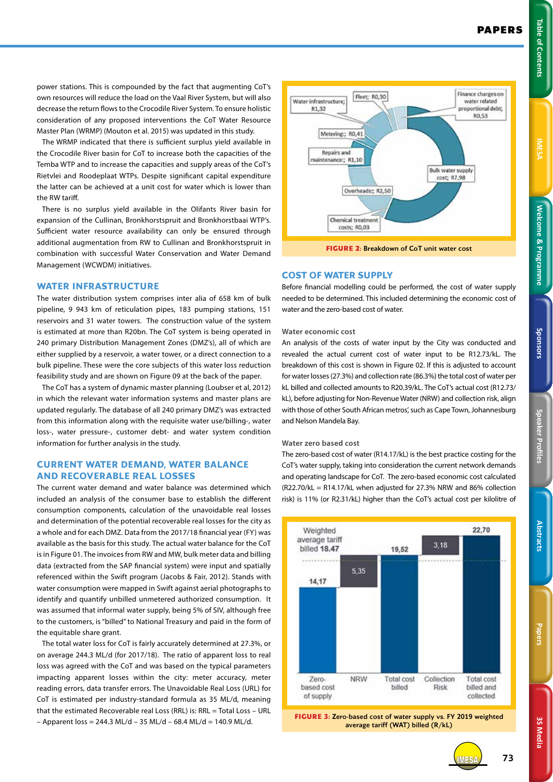**3S Media 3S Media**

IMESA **73**

power stations. This is compounded by the fact that augmenting CoT's own resources will reduce the load on the Vaal River System, but will also decrease the return flows to the Crocodile River System. To ensure holistic consideration of any proposed interventions the CoT Water Resource Master Plan (WRMP) (Mouton et al. 2015) was updated in this study.

The WRMP indicated that there is sufficient surplus yield available in the Crocodile River basin for CoT to increase both the capacities of the Temba WTP and to increase the capacities and supply areas of the CoT's Rietvlei and Roodeplaat WTPs. Despite significant capital expenditure the latter can be achieved at a unit cost for water which is lower than the RW tariff.

There is no surplus yield available in the Olifants River basin for expansion of the Cullinan, Bronkhorstspruit and Bronkhorstbaai WTP's. Sufficient water resource availability can only be ensured through additional augmentation from RW to Cullinan and Bronkhorstspruit in combination with successful Water Conservation and Water Demand Management (WCWDM) initiatives.

#### **WATER INFRASTRUCTURE**

The water distribution system comprises inter alia of 658 km of bulk pipeline, 9 943 km of reticulation pipes, 183 pumping stations, 151 reservoirs and 31 water towers. The construction value of the system is estimated at more than R20bn. The CoT system is being operated in 240 primary Distribution Management Zones (DMZ's), all of which are either supplied by a reservoir, a water tower, or a direct connection to a bulk pipeline. These were the core subjects of this water loss reduction feasibility study and are shown on Figure 09 at the back of the paper.

The CoT has a system of dynamic master planning (Loubser et al, 2012) in which the relevant water information systems and master plans are updated regularly. The database of all 240 primary DMZ's was extracted from this information along with the requisite water use/billing-, water loss-, water pressure-, customer debt- and water system condition information for further analysis in the study.

# **CURRENT WATER DEMAND, WATER BALANCE AND RECOVERABLE REAL LOSSES**

The current water demand and water balance was determined which included an analysis of the consumer base to establish the different consumption components, calculation of the unavoidable real losses and determination of the potential recoverable real losses for the city as a whole and for each DMZ. Data from the 2017/18 financial year (FY) was available as the basis for this study. The actual water balance for the CoT is in Figure 01. The invoices from RW and MW, bulk meter data and billing data (extracted from the SAP financial system) were input and spatially referenced within the Swift program (Jacobs & Fair, 2012). Stands with water consumption were mapped in Swift against aerial photographs to identify and quantify unbilled unmetered authorized consumption. It was assumed that informal water supply, being 5% of SIV, although free to the customers, is "billed" to National Treasury and paid in the form of the equitable share grant.

The total water loss for CoT is fairly accurately determined at 27.3%, or on average 244.3 ML/d (for 2017/18). The ratio of apparent loss to real loss was agreed with the CoT and was based on the typical parameters impacting apparent losses within the city: meter accuracy, meter reading errors, data transfer errors. The Unavoidable Real Loss (URL) for CoT is estimated per industry-standard formula as 35 ML/d, meaning that the estimated Recoverable real Loss (RRL) is: RRL = Total Loss – URL  $-$  Apparent loss = 244.3 ML/d - 35 ML/d - 68.4 ML/d = 140.9 ML/d.



**FIGURE 2:** Breakdown of CoT unit water cost

#### **COST OF WATER SUPPLY**

Before financial modelling could be performed, the cost of water supply needed to be determined. This included determining the economic cost of water and the zero-based cost of water.

#### **Water economic cost**

An analysis of the costs of water input by the City was conducted and revealed the actual current cost of water input to be R12.73/kL. The breakdown of this cost is shown in Figure 02. If this is adjusted to account for water losses (27.3%) and collection rate (86.3%) the total cost of water per kL billed and collected amounts to R20.39/kL. The CoT's actual cost (R12.73/ kL), before adjusting for Non-Revenue Water (NRW) and collection risk, align with those of other South African metros', such as Cape Town, Johannesburg and Nelson Mandela Bay.

### **Water zero based cost**

The zero-based cost of water (R14.17/kL) is the best practice costing for the CoT's water supply, taking into consideration the current network demands and operating landscape for CoT. The zero-based economic cost calculated  $(R22.70/kL = R14.17/kL$  when adjusted for 27.3% NRW and 86% collection risk) is 11% (or R2.31/kL) higher than the CoT's actual cost per kilolitre of



**FIGURE 3:** Zero-based cost of water supply vs. FY 2019 weighted average tariff (WAT) billed (R/kL)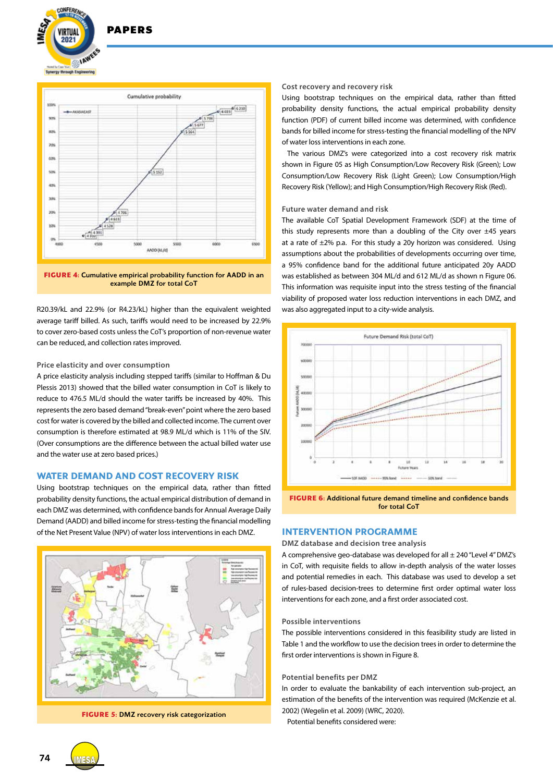

# **DADEDS**



**FIGURE 4:** Cumulative empirical probability function for AADD in an example DMZ for total CoT

R20.39/kL and 22.9% (or R4.23/kL) higher than the equivalent weighted average tariff billed. As such, tariffs would need to be increased by 22.9% to cover zero-based costs unless the CoT's proportion of non-revenue water can be reduced, and collection rates improved.

#### **Price elasticity and over consumption**

A price elasticity analysis including stepped tariffs (similar to Hoffman & Du Plessis 2013) showed that the billed water consumption in CoT is likely to reduce to 476.5 ML/d should the water tariffs be increased by 40%. This represents the zero based demand "break-even" point where the zero based cost for water is covered by the billed and collected income. The current over consumption is therefore estimated at 98.9 ML/d which is 11% of the SIV. (Over consumptions are the difference between the actual billed water use and the water use at zero based prices.)

# **WATER DEMAND AND COST RECOVERY RISK**

Using bootstrap techniques on the empirical data, rather than fitted probability density functions, the actual empirical distribution of demand in each DMZ was determined, with confidence bands for Annual Average Daily Demand (AADD) and billed income for stress-testing the financial modelling of the Net Present Value (NPV) of water loss interventions in each DMZ.



**FIGURE 5:** DMZ recovery risk categorization

#### **Cost recovery and recovery risk**

Using bootstrap techniques on the empirical data, rather than fitted probability density functions, the actual empirical probability density function (PDF) of current billed income was determined, with confidence bands for billed income for stress-testing the financial modelling of the NPV of water loss interventions in each zone.

The various DMZ's were categorized into a cost recovery risk matrix shown in Figure 05 as High Consumption/Low Recovery Risk (Green); Low Consumption/Low Recovery Risk (Light Green); Low Consumption/High Recovery Risk (Yellow); and High Consumption/High Recovery Risk (Red).

#### **Future water demand and risk**

The available CoT Spatial Development Framework (SDF) at the time of this study represents more than a doubling of the City over  $\pm 45$  years at a rate of  $\pm 2\%$  p.a. For this study a 20y horizon was considered. Using assumptions about the probabilities of developments occurring over time, a 95% confidence band for the additional future anticipated 20y AADD was established as between 304 ML/d and 612 ML/d as shown n Figure 06. This information was requisite input into the stress testing of the financial viability of proposed water loss reduction interventions in each DMZ, and was also aggregated input to a city-wide analysis.



**FIGURE 6:** Additional future demand timeline and confidence bands for total CoT

#### **INTERVENTION PROGRAMME**

### **DMZ database and decision tree analysis**

A comprehensive geo-database was developed for all ± 240 "Level 4" DMZ's in CoT, with requisite fields to allow in-depth analysis of the water losses and potential remedies in each. This database was used to develop a set of rules-based decision-trees to determine first order optimal water loss interventions for each zone, and a first order associated cost.

#### **Possible interventions**

The possible interventions considered in this feasibility study are listed in Table 1 and the workflow to use the decision trees in order to determine the first order interventions is shown in Figure 8.

#### **Potential benefits per DMZ**

In order to evaluate the bankability of each intervention sub-project, an estimation of the benefits of the intervention was required (McKenzie et al. 2002) (Wegelin et al. 2009) (WRC, 2020).

Potential benefits considered were:

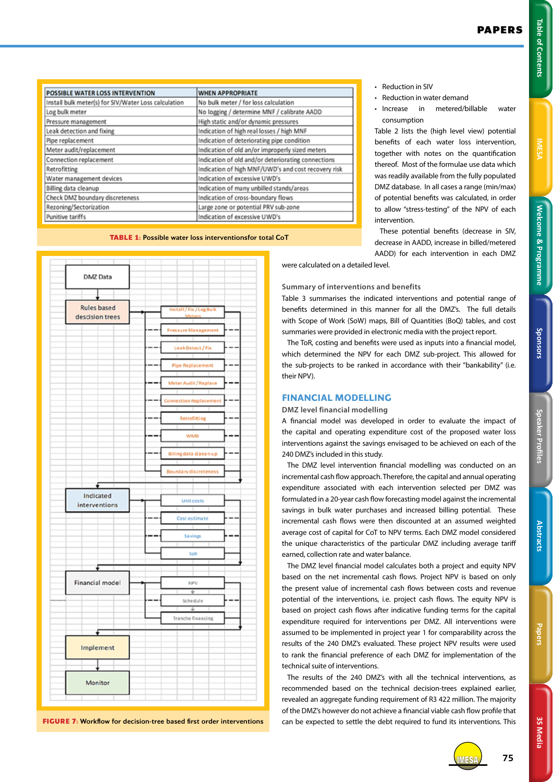**Welcome & Programme Table of Contents IMESA** 

Welcome & Programme

**IMES** 

Table of Contents

|  | г |  | o e |
|--|---|--|-----|
|  |   |  |     |
|  |   |  |     |

| <b>WHEN APPROPRIATE</b>                             |
|-----------------------------------------------------|
| No bulk meter / for loss calculation                |
| No logging / determine MNF / calibrate AADD         |
| High static and/or dynamic pressures                |
| Indication of high real losses / high MNF           |
| Indication of deteriorating pipe condition          |
| Indication of old an/or improperly sized meters     |
| Indication of old and/or deteriorating connections  |
| Indication of high MNF/UWD's and cost recovery risk |
| Indication of excessive UWD's                       |
| Indication of many unbilled stands/areas            |
| Indication of cross-boundary flows                  |
| Large zone or potential PRV sub-zone                |
| Indication of excessive UWD's                       |
|                                                     |

**TABLE 1:** Possible water loss interventionsfor total CoT



**FIGURE 7:** Workflow for decision-tree based first order interventions

- Reduction in SIV
- Reduction in water demand
- Increase in metered/billable water consumption

Table 2 lists the (high level view) potential benefits of each water loss intervention, together with notes on the quantification thereof. Most of the formulae use data which was readily available from the fully populated DMZ database. In all cases a range (min/max) of potential benefits was calculated, in order to allow "stress-testing" of the NPV of each intervention.

These potential benefits (decrease in SIV, decrease in AADD, increase in billed/metered AADD) for each intervention in each DMZ

were calculated on a detailed level.

# **Summary of interventions and benefits**

Table 3 summarises the indicated interventions and potential range of benefits determined in this manner for all the DMZ's. The full details with Scope of Work (SoW) maps, Bill of Quantities (BoQ) tables, and cost summaries were provided in electronic media with the project report.

The ToR, costing and benefits were used as inputs into a financial model, which determined the NPV for each DMZ sub-project. This allowed for the sub-projects to be ranked in accordance with their "bankability" (i.e. their NPV).

## **FINANCIAL MODELLING**

#### **DMZ level financial modelling**

A financial model was developed in order to evaluate the impact of the capital and operating expenditure cost of the proposed water loss interventions against the savings envisaged to be achieved on each of the 240 DMZ's included in this study.

The DMZ level intervention financial modelling was conducted on an incremental cash flow approach. Therefore, the capital and annual operating expenditure associated with each intervention selected per DMZ was formulated in a 20-year cash flow forecasting model against the incremental savings in bulk water purchases and increased billing potential. These incremental cash flows were then discounted at an assumed weighted average cost of capital for CoT to NPV terms. Each DMZ model considered the unique characteristics of the particular DMZ including average tariff earned, collection rate and water balance.

The DMZ level financial model calculates both a project and equity NPV based on the net incremental cash flows. Project NPV is based on only the present value of incremental cash flows between costs and revenue potential of the interventions, i.e. project cash flows. The equity NPV is based on project cash flows after indicative funding terms for the capital expenditure required for interventions per DMZ. All interventions were assumed to be implemented in project year 1 for comparability across the results of the 240 DMZ's evaluated. These project NPV results were used to rank the financial preference of each DMZ for implementation of the technical suite of interventions.

The results of the 240 DMZ's with all the technical interventions, as recommended based on the technical decision-trees explained earlier, revealed an aggregate funding requirement of R3 422 million. The majority of the DMZ's however do not achieve a financial viable cash flow profile that can be expected to settle the debt required to fund its interventions. This

**Abstract** 

**Speaker Profiles Sponsors**

**Speaker Profiles** 

Sponsors

**3S Media**

3S Media

IMESA **75**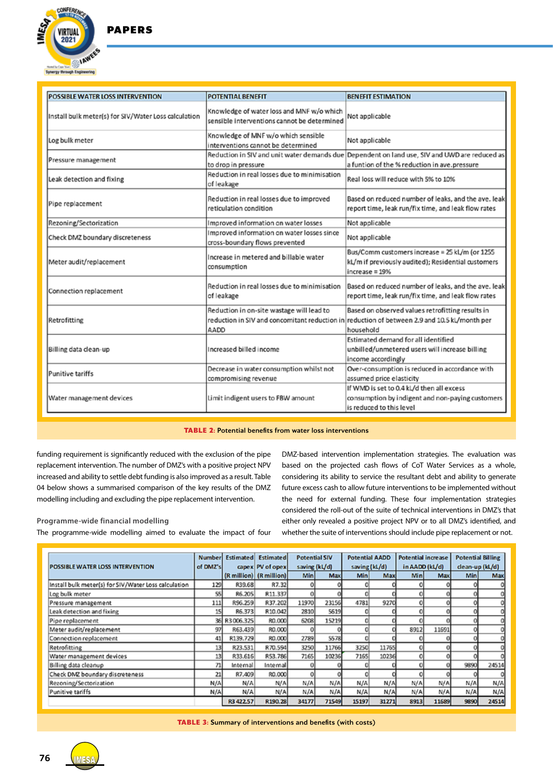PAPERS



| POSSIBLE WATER LOSS INTERVENTION                     | <b>POTENTIAL BENEFIT</b>                                                                 | <b>BENEFIT ESTIMATION</b>                                                                                                                                     |  |  |
|------------------------------------------------------|------------------------------------------------------------------------------------------|---------------------------------------------------------------------------------------------------------------------------------------------------------------|--|--|
| Install bulk meter(s) for SIV/Water Loss calculation | Knowledge of water loss and MNF w/o which<br>sensible interventions cannot be determined | Not applicable                                                                                                                                                |  |  |
| Log bulk meter                                       | Knowledge of MNF w/o which sensible<br>interventions cannot be determined                | Not applicable                                                                                                                                                |  |  |
| Pressure management                                  | to drop in pressure                                                                      | Reduction in SIV and unit water demands due Dependent on land use, SIV and UWD are reduced as<br>a funtion of the % reduction in ave.pressure                 |  |  |
| Leak detection and fixing                            | Reduction in real losses due to minimisation<br>of leakage                               | Real loss will reduce with 5% to 10%                                                                                                                          |  |  |
| Pipe replacement                                     | Reduction in real losses due to improved<br>reticulation condition                       | Based on reduced number of leaks, and the ave. leak<br>report time, leak run/fix time, and leak flow rates                                                    |  |  |
| Rezoning/Sectorization                               | Improved information on water losses                                                     | Not applicable                                                                                                                                                |  |  |
| Check DMZ boundary discreteness                      | Improved information on water losses since<br>cross-boundary flows prevented             | Not applicable                                                                                                                                                |  |  |
| Meter audit/replacement                              | Increase in metered and billable water<br>consumption                                    | Bus/Comm customers increase = 25 kL/m (or 1255<br>kL/m if previously audited); Residential customers<br>increase = 19%                                        |  |  |
| Connection replacement                               | Reduction in real losses due to minimisation<br>of leakage                               | Based on reduced number of leaks, and the ave. leak<br>report time, leak run/fix time, and leak flow rates                                                    |  |  |
| Retrofitting                                         | Reduction in on-site wastage will lead to<br>AADD                                        | Based on observed values retrofitting results in<br>reduction in SIV and concomitant reduction in reduction of between 2.9 and 10.5 kL/month per<br>household |  |  |
| Billing data clean-up                                | Increased billed income                                                                  | Estimated demand for all identified<br>unbilled/unmetered users will increase billing<br>income accordingly                                                   |  |  |
| Punitive tariffs                                     | Decrease in water consumption whilst not                                                 | Over-consumption is reduced in accordance with                                                                                                                |  |  |
|                                                      | compromising revenue                                                                     | assumed price elasticity                                                                                                                                      |  |  |
| Water management devices                             | Limit indigent users to FBW amount                                                       | If WMD is set to 0.4 kL/d then all excess<br>consumption by indigent and non-paying customers<br>is reduced to this level                                     |  |  |

**TABLE 2:** Potential benefits from water loss interventions

funding requirement is significantly reduced with the exclusion of the pipe replacement intervention. The number of DMZ's with a positive project NPV increased and ability to settle debt funding is also improved as a result. Table 04 below shows a summarised comparison of the key results of the DMZ modelling including and excluding the pipe replacement intervention.

# **Programme-wide financial modelling**

The programme-wide modelling aimed to evaluate the impact of four

DMZ-based intervention implementation strategies. The evaluation was based on the projected cash flows of CoT Water Services as a whole, considering its ability to service the resultant debt and ability to generate future excess cash to allow future interventions to be implemented without the need for external funding. These four implementation strategies considered the roll-out of the suite of technical interventions in DMZ's that either only revealed a positive project NPV or to all DMZ's identified, and whether the suite of interventions should include pipe replacement or not.

|                                                      | <b>Number</b> |              | <b>Estimated</b> Estimated |            | <b>Potential SIV</b> | <b>Potential AADD</b> |       | <b>Potential increase</b> |                | <b>Potential Billing</b> |       |
|------------------------------------------------------|---------------|--------------|----------------------------|------------|----------------------|-----------------------|-------|---------------------------|----------------|--------------------------|-------|
| POSSIBLE WATER LOSS INTERVENTION                     | of DMZ's      |              | capex PV of opex           |            | saving (kL/d)        | saving (kL/d)         |       |                           | in AADD (kL/d) | dean-up (kL/d)           |       |
|                                                      |               |              | (R million) (R million)    | <b>Min</b> | Max                  | <b>Min</b>            | Max   | Minl                      | Max            | <b>Min</b>               | Max   |
| Install bulk meter(s) for SIV/Water Loss calculation | 129           | R39.68       | R7.32                      |            |                      |                       |       |                           |                |                          |       |
| Log bulk meter                                       | 55            | R6.205       | R11.337                    |            |                      |                       |       |                           |                |                          |       |
| Pressure management                                  | 111           | R96.259      | R37.202                    | 11970      | 23156                | 4781                  | 9270  | o                         |                |                          |       |
| Leak detection and fixing                            | 15            | R6.373       | R10.042                    | 2810       | 5619                 |                       |       |                           |                |                          |       |
| Pipe replacement                                     |               | 36 R3006.325 | R0.000                     | 6208       | 15219                |                       |       | 0                         |                |                          |       |
| Meter audit/replacement                              | 97            | R63.439      | R0.000                     |            |                      |                       |       | 8912                      | 11691          |                          |       |
| Connection replacement                               | 41            | R139.729     | R0.000                     | 2789       | 5578                 |                       |       |                           |                |                          |       |
| Retrofitting                                         | 13            | R23.531      | R70.594                    | 3250       | 11766                | 3250                  | 11765 | O                         |                |                          |       |
| Water management devices                             | 13            | R33.616      | R53.786                    | 7165       | 10235                | 7165                  | 10236 |                           |                |                          |       |
| Billing data cleanup                                 | 71            | Internal     | Internal                   |            |                      |                       |       |                           |                | 9890                     | 24514 |
| Check DMZ boundary discreteness                      | 21            | R7.409       | RO.000                     |            |                      |                       |       |                           |                |                          |       |
| Rezoning/Sectorization                               | N/A           | N/A          | N/A                        | N/A        | N/A                  | N/A                   | N/A   | N/A                       | N/A            | N/A                      | N/A   |
| Punitive tariffs                                     | N/A           | N/A          | N/A                        | N/A        | N/A                  | N/A                   | N/A   | N/A                       | N/A            | N/A                      | N/A   |
|                                                      |               | R3 422.57    | R190.28                    | 34177      | 71549                | 15197                 | 31271 | 8913                      | 11689          | 9890                     | 24514 |

**TABLE 3:** Summary of interventions and benefits (with costs)

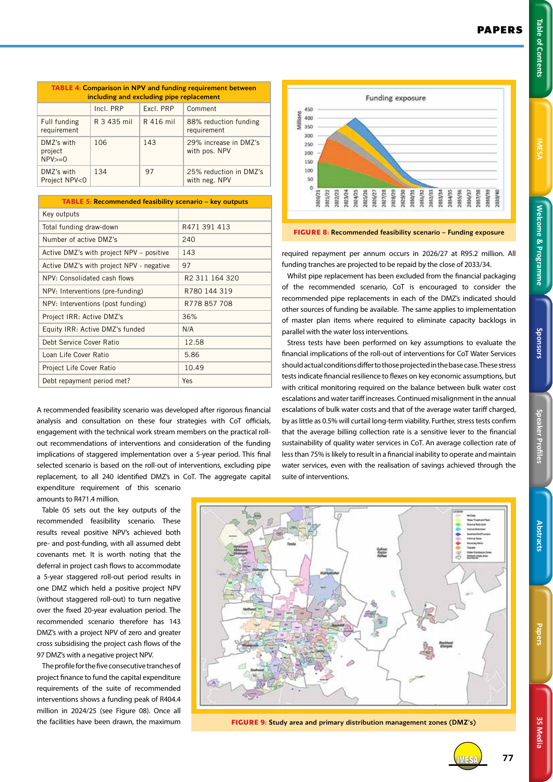**3S Media**

**3S Media** 

| <b>TABLE 4: Comparison in NPV and funding requirement between</b><br>including and excluding pipe replacement |             |           |                                         |  |  |  |
|---------------------------------------------------------------------------------------------------------------|-------------|-----------|-----------------------------------------|--|--|--|
|                                                                                                               | Incl. PRP   | Excl. PRP | Comment                                 |  |  |  |
| Full funding<br>requirement                                                                                   | R 3 435 mil | R 416 mil | 88% reduction funding<br>requirement    |  |  |  |
| DMZ's with<br>project<br>$NPV>=0$                                                                             | 106         | 143       | 29% increase in DMZ's<br>with pos. NPV  |  |  |  |
| DMZ's with<br>Project NPV<0                                                                                   | 134         | 97        | 25% reduction in DMZ's<br>with neg. NPV |  |  |  |

| <b>TABLE 5: Recommended feasibility scenario – key outputs</b> |                            |  |  |  |  |
|----------------------------------------------------------------|----------------------------|--|--|--|--|
| Key outputs                                                    |                            |  |  |  |  |
| Total funding draw-down                                        | R471 391 413               |  |  |  |  |
| Number of active DMZ's                                         | 240                        |  |  |  |  |
| Active DMZ's with project NPV – positive                       | 143                        |  |  |  |  |
| Active DMZ's with project NPV - negative                       | 97                         |  |  |  |  |
| NPV: Consolidated cash flows                                   | R <sub>2</sub> 311 164 320 |  |  |  |  |
| NPV: Interventions (pre-funding)                               | R780 144 319               |  |  |  |  |
| NPV: Interventions (post funding)                              | R778 857 708               |  |  |  |  |
| Project IRR: Active DMZ's                                      | 36%                        |  |  |  |  |
| Equity IRR: Active DMZ's funded                                | N/A                        |  |  |  |  |
| Debt Service Cover Ratio                                       | 12.58                      |  |  |  |  |
| Loan Life Cover Ratio                                          | 5.86                       |  |  |  |  |
| Project Life Cover Ratio                                       | 10.49                      |  |  |  |  |
| Debt repayment period met?                                     | Yes                        |  |  |  |  |

A recommended feasibility scenario was developed after rigorous financial analysis and consultation on these four strategies with CoT officials, engagement with the technical work stream members on the practical rollout recommendations of interventions and consideration of the funding implications of staggered implementation over a 5-year period. This final selected scenario is based on the roll-out of interventions, excluding pipe replacement, to all 240 identified DMZ's in CoT. The aggregate capital expenditure requirement of this scenario

amounts to R471.4 million.

Table 05 sets out the key outputs of the recommended feasibility scenario. These results reveal positive NPV's achieved both pre- and post-funding, with all assumed debt covenants met. It is worth noting that the deferral in project cash flows to accommodate a 5-year staggered roll-out period results in one DMZ which held a positive project NPV (without staggered roll-out) to turn negative over the fixed 20-year evaluation period. The recommended scenario therefore has 143 DMZ's with a project NPV of zero and greater cross subsidising the project cash flows of the 97 DMZ's with a negative project NPV.

The profile for the five consecutive tranches of project finance to fund the capital expenditure requirements of the suite of recommended interventions shows a funding peak of R404.4 million in 2024/25 (see Figure 08). Once all the facilities have been drawn, the maximum



**FIGURE 8:** Recommended feasibility scenario – Funding exposure

required repayment per annum occurs in 2026/27 at R95.2 million. All funding tranches are projected to be repaid by the close of 2033/34.

Whilst pipe replacement has been excluded from the financial packaging of the recommended scenario, CoT is encouraged to consider the recommended pipe replacements in each of the DMZ's indicated should other sources of funding be available. The same applies to implementation of master plan items where required to eliminate capacity backlogs in parallel with the water loss interventions.

Stress tests have been performed on key assumptions to evaluate the financial implications of the roll-out of interventions for CoT Water Services should actual conditions differ to those projected in the base case. These stress tests indicate financial resilience to flexes on key economic assumptions, but with critical monitoring required on the balance between bulk water cost escalations and water tariff increases. Continued misalignment in the annual escalations of bulk water costs and that of the average water tariff charged, by as little as 0.5% will curtail long-term viability. Further, stress tests confirm that the average billing collection rate is a sensitive lever to the financial sustainability of quality water services in CoT. An average collection rate of less than 75% is likely to result in a financial inability to operate and maintain water services, even with the realisation of savings achieved through the suite of interventions.



**FIGURE 9:** Study area and primary distribution management zones (DMZ's)



IMESA **77**